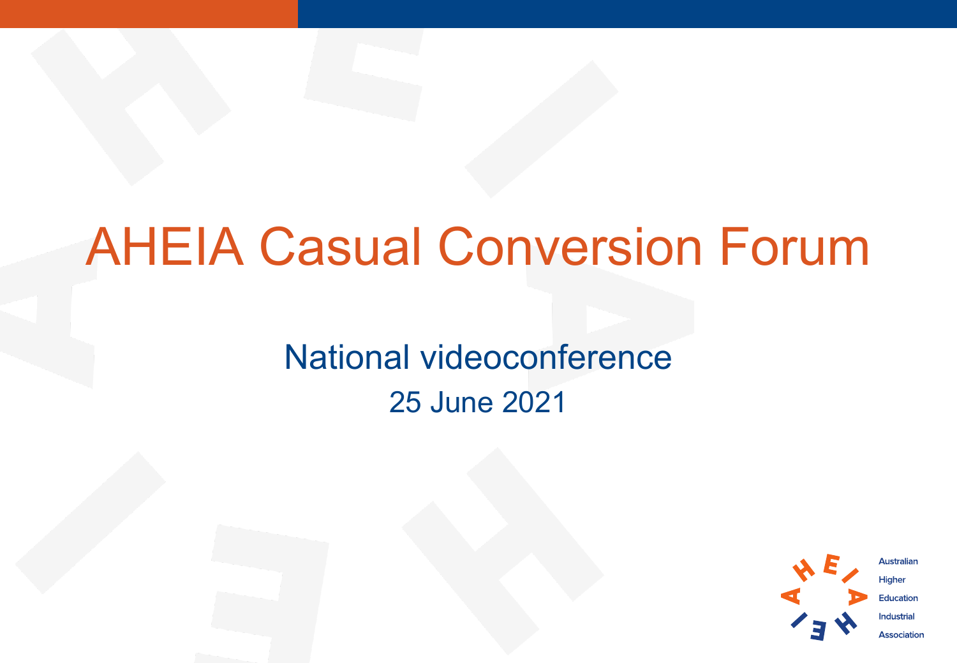### AHEIA Casual Conversion Forum

National videoconference 25 June 2021



**Australian** Higher **Education Industrial Association**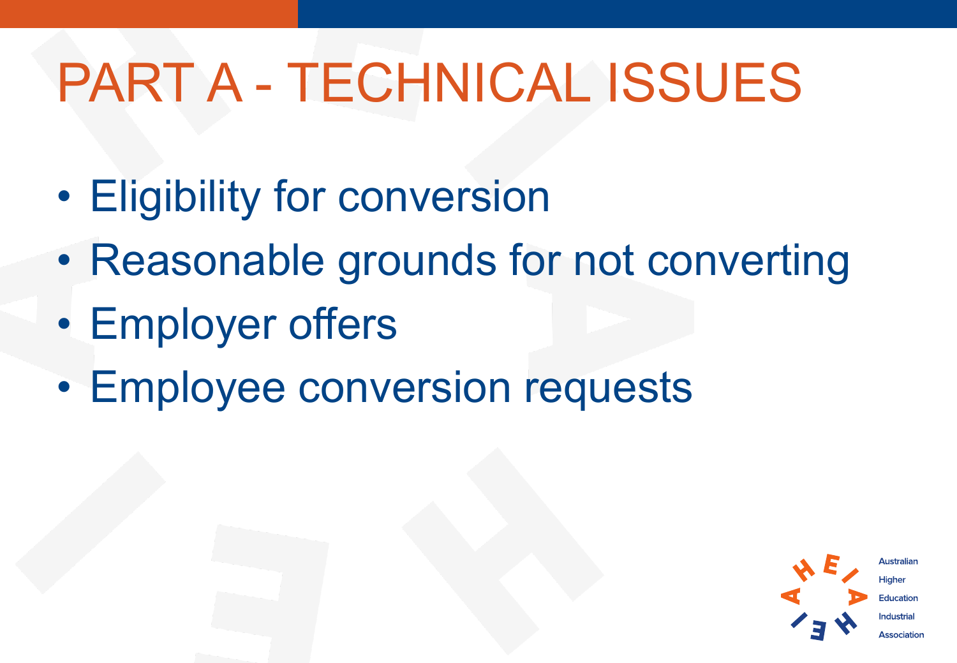# PART A - TECHNICAL ISSUES

- Eligibility for conversion
- Reasonable grounds for not converting
- Employer offers
- Employee conversion requests

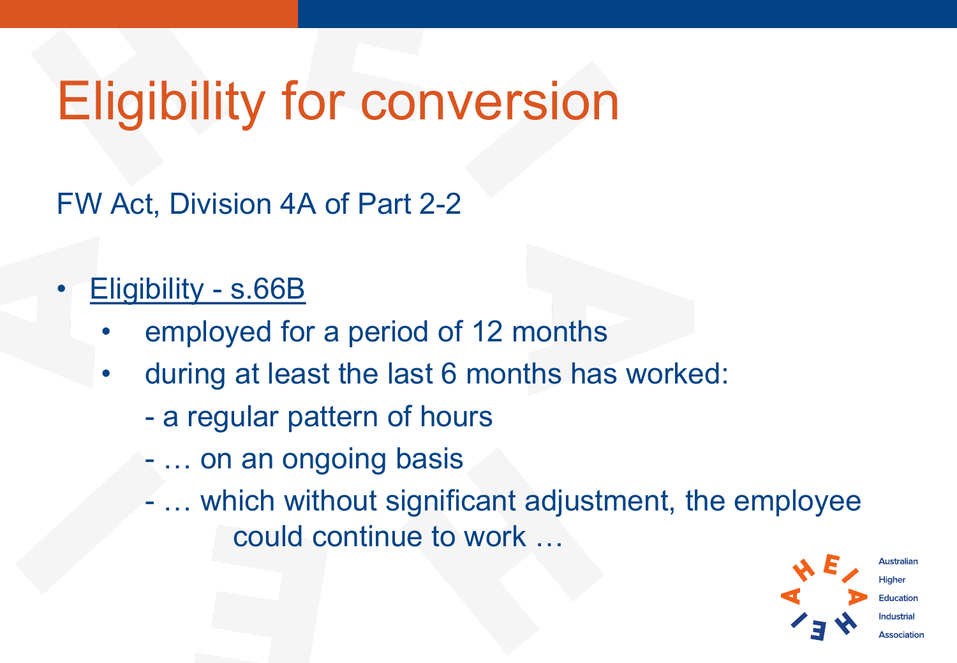## Eligibility for conversion

FW Act, Division 4A of Part 2-2

#### • Eligibility - s.66B

- employed for a period of 12 months
- during at least the last 6 months has worked:
	- a regular pattern of hours
	- … on an ongoing basis
	- … which without significant adjustment, the employee could continue to work …

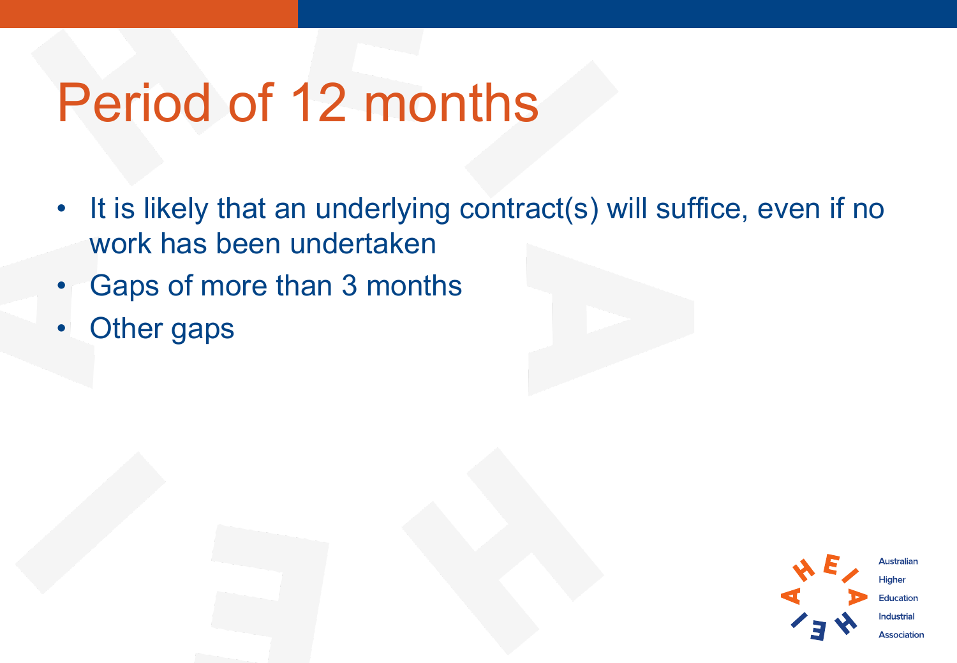## Period of 12 months

- It is likely that an underlying contract(s) will suffice, even if no work has been undertaken
- Gaps of more than 3 months
- **Other gaps**

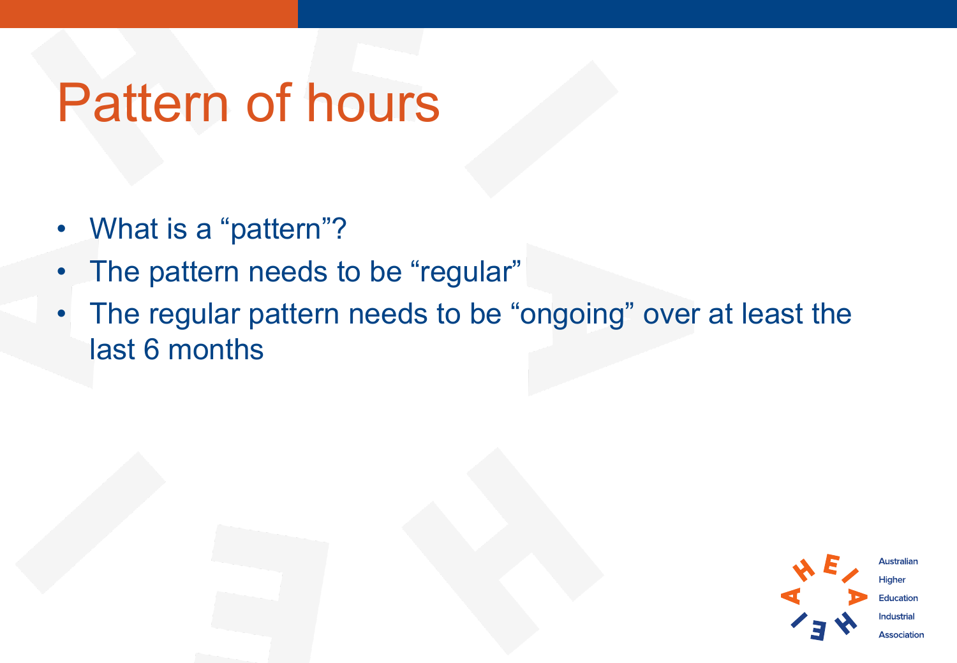## Pattern of hours

- What is a "pattern"?
- The pattern needs to be "regular"
- The regular pattern needs to be "ongoing" over at least the last 6 months

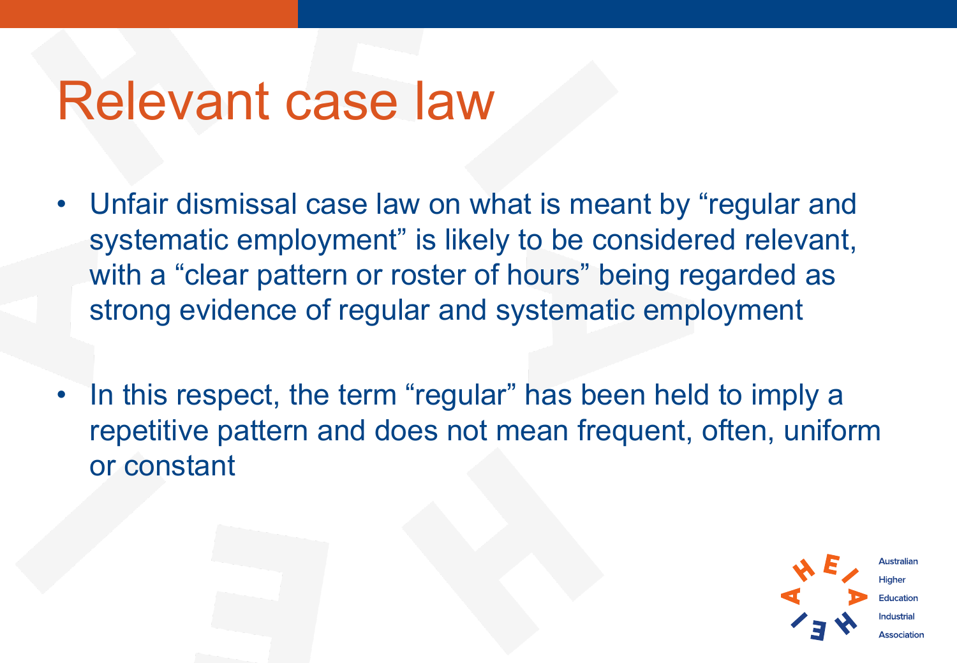#### Relevant case law

- Unfair dismissal case law on what is meant by "regular and systematic employment" is likely to be considered relevant, with a "clear pattern or roster of hours" being regarded as strong evidence of regular and systematic employment
- In this respect, the term "regular" has been held to imply a repetitive pattern and does not mean frequent, often, uniform or constant

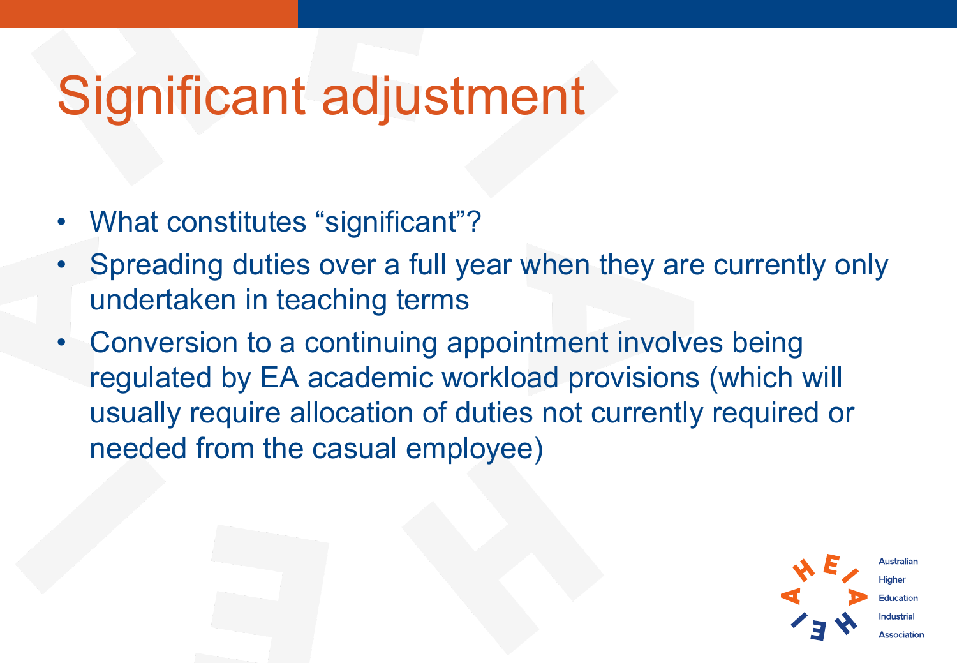## Significant adjustment

- What constitutes "significant"?
- Spreading duties over a full year when they are currently only undertaken in teaching terms
- Conversion to a continuing appointment involves being regulated by EA academic workload provisions (which will usually require allocation of duties not currently required or needed from the casual employee)

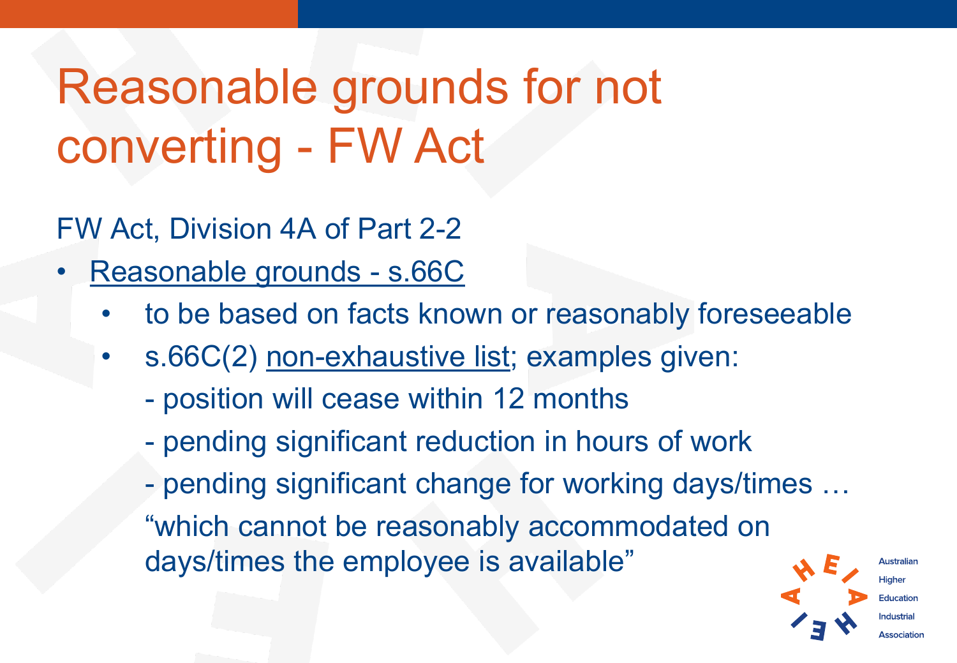### Reasonable grounds for not converting - FW Act

FW Act, Division 4A of Part 2-2

- Reasonable grounds s.66C
	- to be based on facts known or reasonably foreseeable
	- s.66C(2) non-exhaustive list; examples given:
		- position will cease within 12 months
		- pending significant reduction in hours of work
		- pending significant change for working days/times … "which cannot be reasonably accommodated on days/times the employee is available"

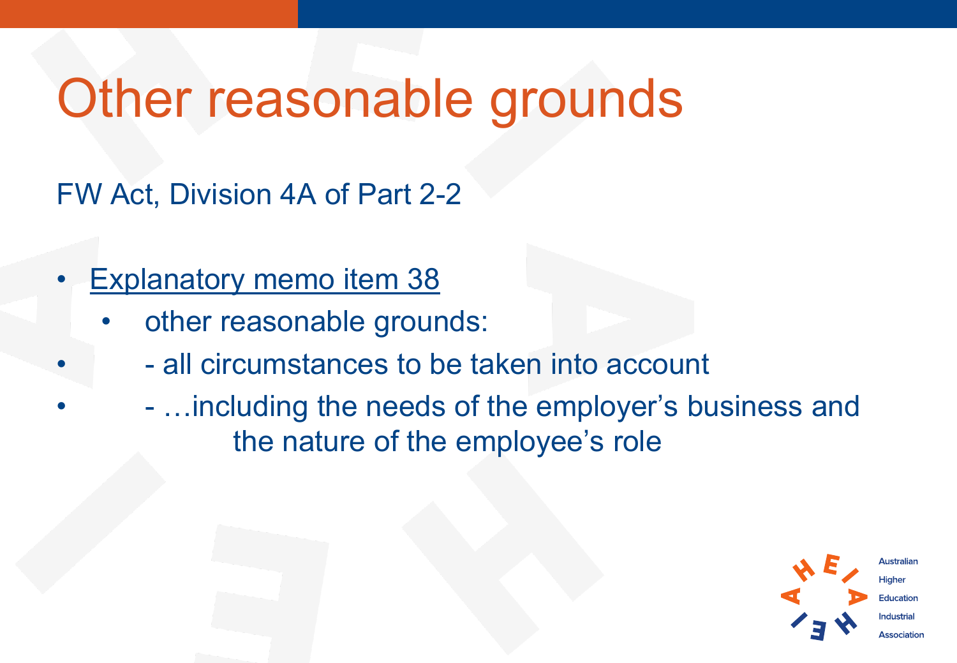## Other reasonable grounds

FW Act, Division 4A of Part 2-2

- **Explanatory memo item 38** 
	- other reasonable grounds:
		- - all circumstances to be taken into account
		- - …including the needs of the employer's business and the nature of the employee's role

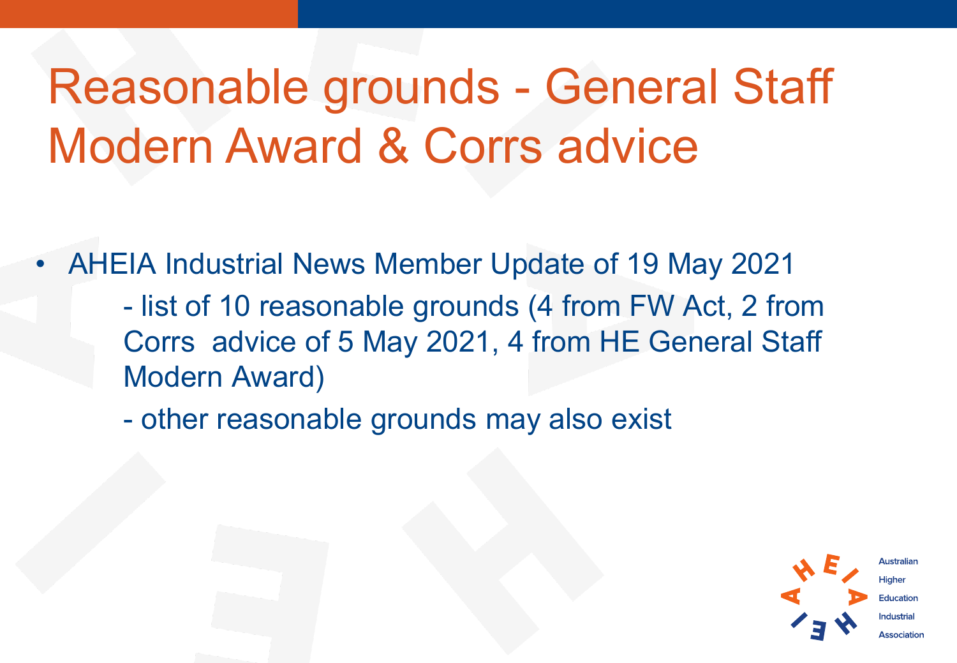Reasonable grounds - General Staff Modern Award & Corrs advice

• AHEIA Industrial News Member Update of 19 May 2021

- list of 10 reasonable grounds (4 from FW Act, 2 from Corrs advice of 5 May 2021, 4 from HE General Staff Modern Award)

- other reasonable grounds may also exist



Hiaher **Education**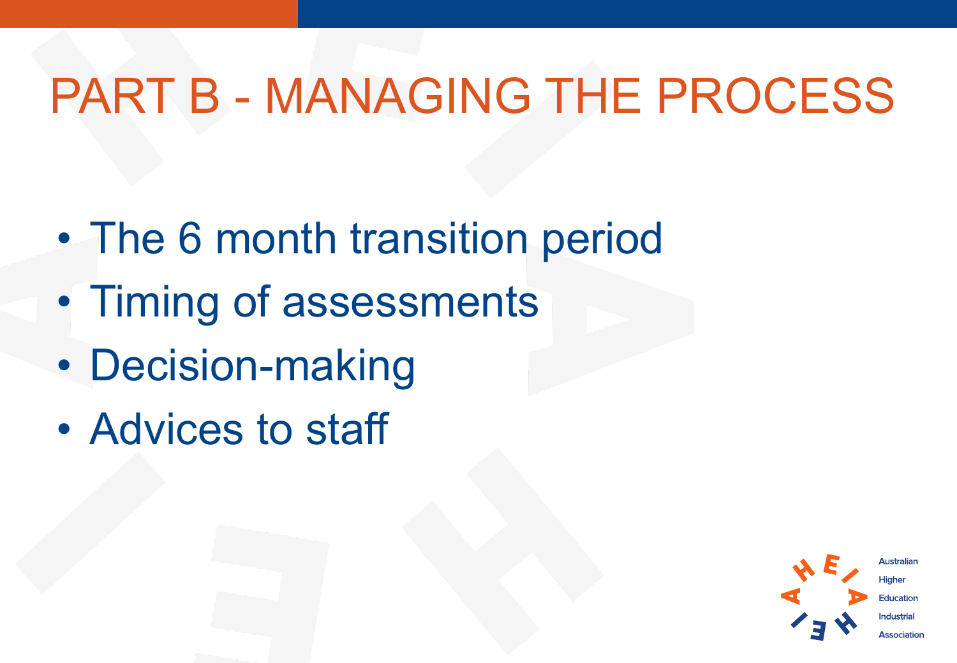#### PART B - MANAGING THE PROCESS

- The 6 month transition period
- Timing of assessments
- Decision-making
- Advices to staff

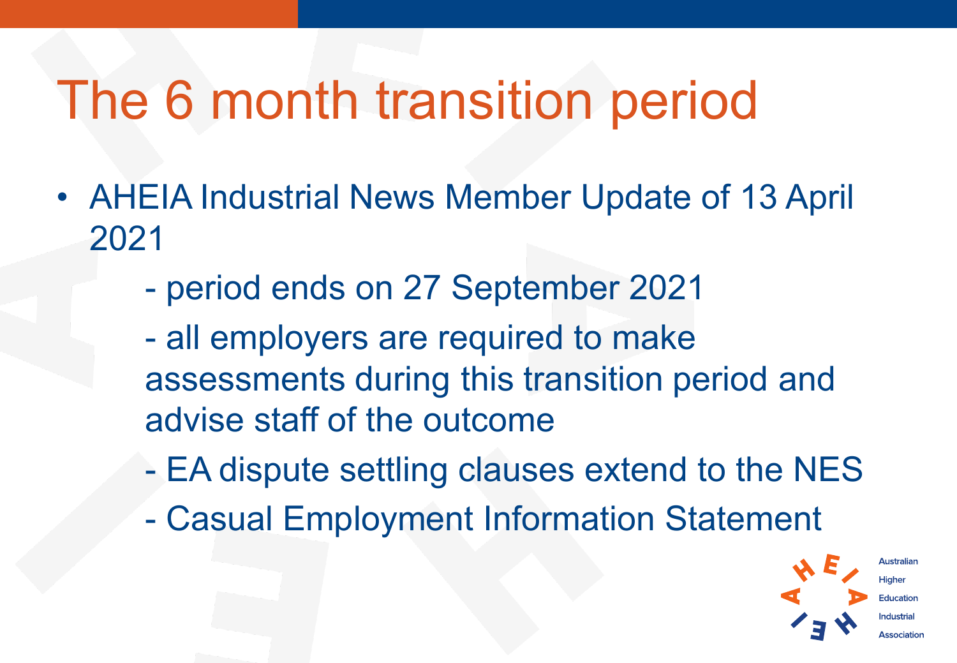## The 6 month transition period

- AHEIA Industrial News Member Update of 13 April 2021
	- period ends on 27 September 2021
	- all employers are required to make assessments during this transition period and advise staff of the outcome
	- EA dispute settling clauses extend to the NES
	- Casual Employment Information Statement

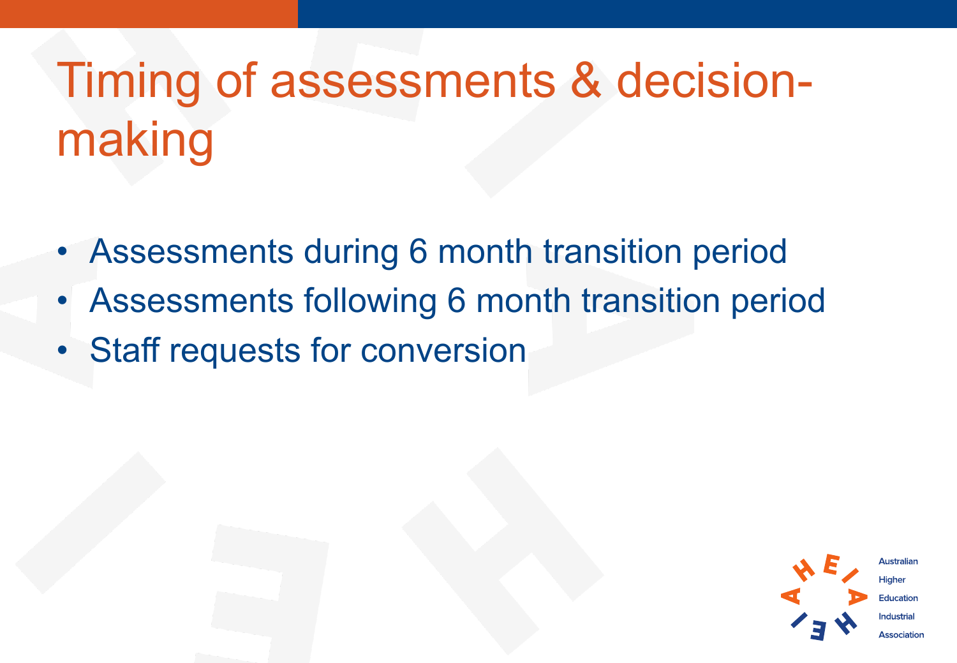# Timing of assessments & decisionmaking

- Assessments during 6 month transition period
- Assessments following 6 month transition period
- **Staff requests for conversion**

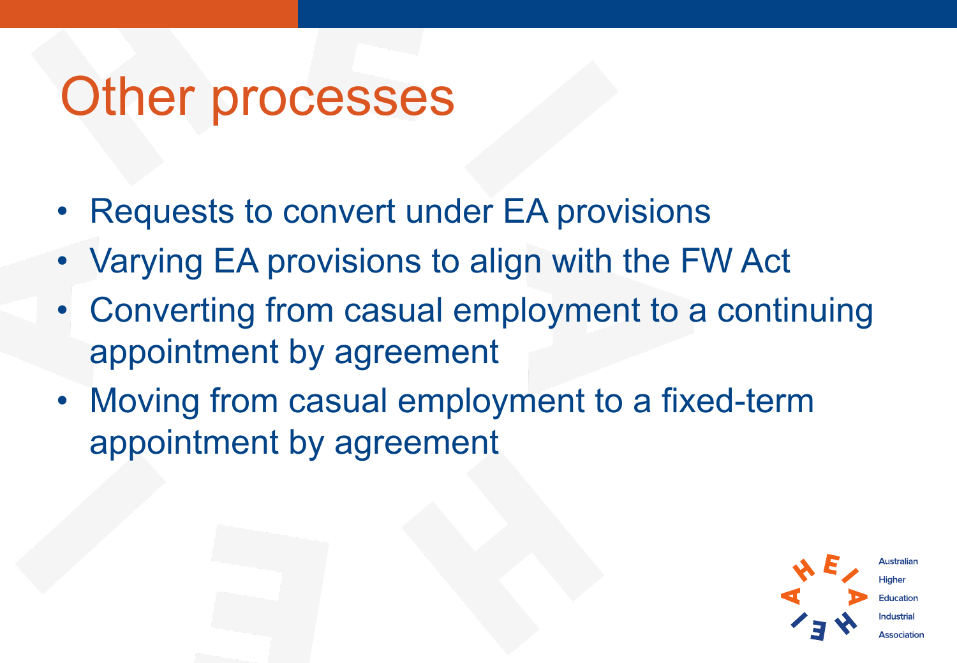#### Other processes

- Requests to convert under EA provisions
- Varying EA provisions to align with the FW Act
- Converting from casual employment to a continuing appointment by agreement
- Moving from casual employment to a fixed-term appointment by agreement

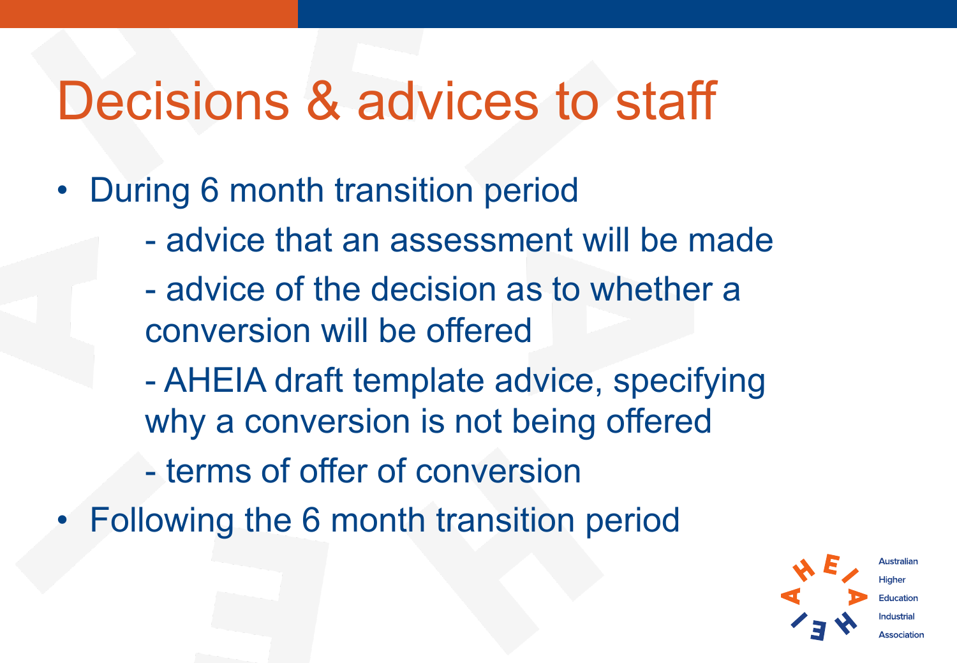## Decisions & advices to staff

- During 6 month transition period
	- advice that an assessment will be made
	- advice of the decision as to whether a conversion will be offered
	- AHEIA draft template advice, specifying why a conversion is not being offered
	- terms of offer of conversion
- Following the 6 month transition period

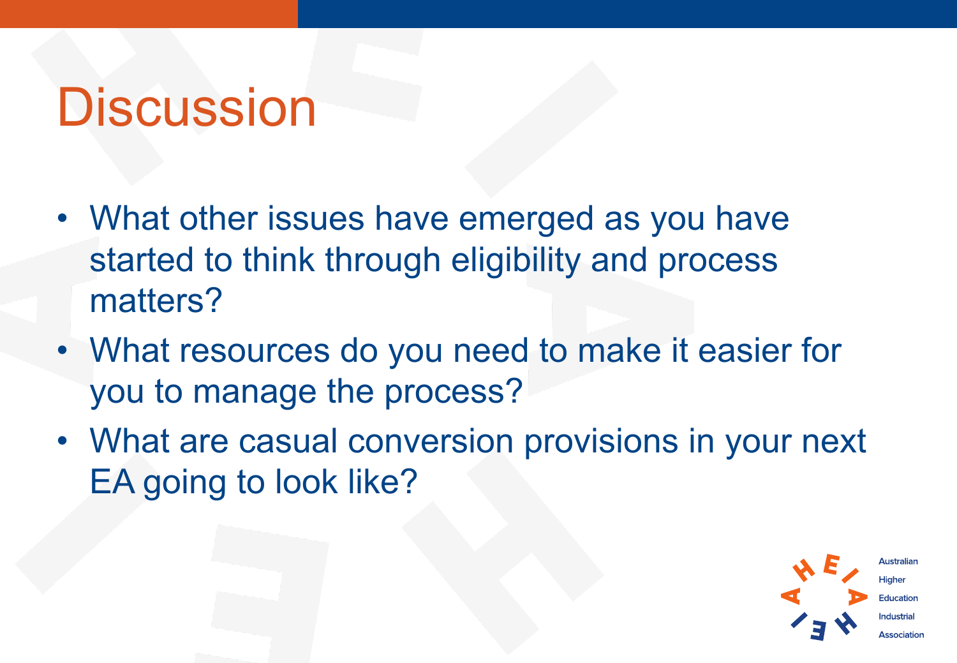### **Discussion**

- What other issues have emerged as you have started to think through eligibility and process matters?
- What resources do you need to make it easier for you to manage the process?
- What are casual conversion provisions in your next EA going to look like?